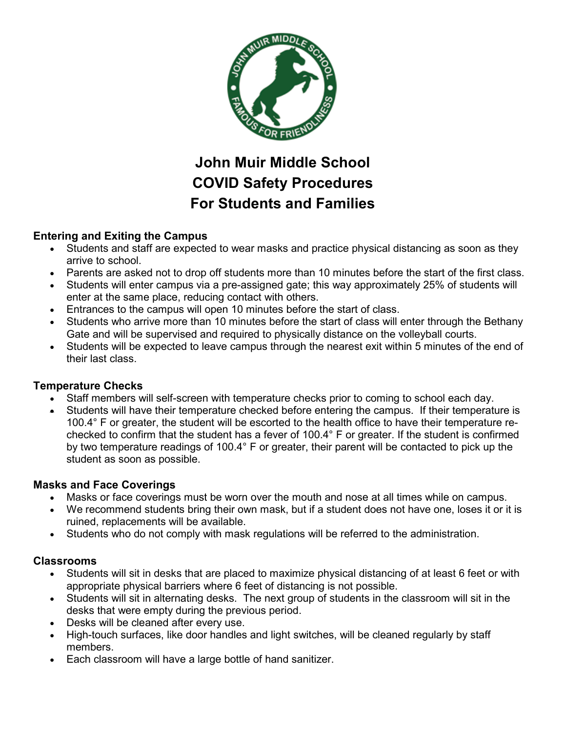

# **John Muir Middle School COVID Safety Procedures For Students and Families**

## **Entering and Exiting the Campus**

- Students and staff are expected to wear masks and practice physical distancing as soon as they arrive to school.
- Parents are asked not to drop off students more than 10 minutes before the start of the first class.
- Students will enter campus via a pre-assigned gate; this way approximately 25% of students will enter at the same place, reducing contact with others.
- Entrances to the campus will open 10 minutes before the start of class.
- Students who arrive more than 10 minutes before the start of class will enter through the Bethany Gate and will be supervised and required to physically distance on the volleyball courts.
- Students will be expected to leave campus through the nearest exit within 5 minutes of the end of their last class.

### **Temperature Checks**

- Staff members will self-screen with temperature checks prior to coming to school each day.
- Students will have their temperature checked before entering the campus. If their temperature is 100.4° F or greater, the student will be escorted to the health office to have their temperature rechecked to confirm that the student has a fever of 100.4° F or greater. If the student is confirmed by two temperature readings of 100.4° F or greater, their parent will be contacted to pick up the student as soon as possible.

### **Masks and Face Coverings**

- Masks or face coverings must be worn over the mouth and nose at all times while on campus.
- We recommend students bring their own mask, but if a student does not have one, loses it or it is ruined, replacements will be available.
- Students who do not comply with mask regulations will be referred to the administration.

### **Classrooms**

- Students will sit in desks that are placed to maximize physical distancing of at least 6 feet or with appropriate physical barriers where 6 feet of distancing is not possible.
- Students will sit in alternating desks. The next group of students in the classroom will sit in the desks that were empty during the previous period.
- Desks will be cleaned after every use.
- High-touch surfaces, like door handles and light switches, will be cleaned regularly by staff members.
- Each classroom will have a large bottle of hand sanitizer.